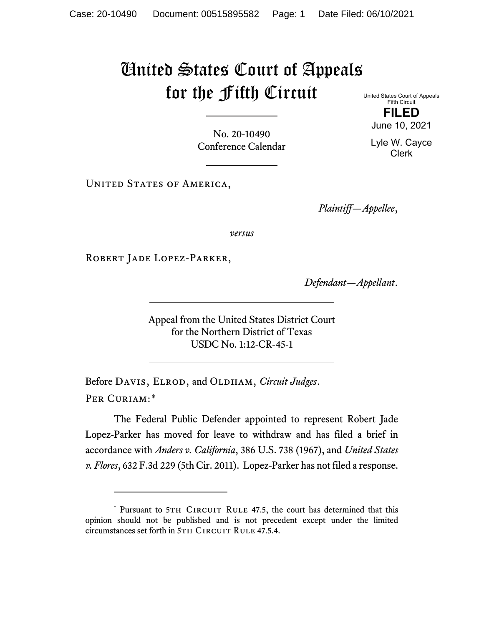## United States Court of Appeals for the Fifth Circuit

United States Court of Appeals Fifth Circuit **FILED** June 10, 2021

No. 20-10490 Conference Calendar

UNITED STATES OF AMERICA,

*Plaintiff—Appellee*,

*versus*

Robert Jade Lopez-Parker,

*Defendant—Appellant*.

Appeal from the United States District Court for the Northern District of Texas USDC No. 1:12-CR-45-1

Before DAVIS, ELROD, and OLDHAM, *Circuit Judges*. Per Curiam:[\\*](#page-0-0)

The Federal Public Defender appointed to represent Robert Jade Lopez-Parker has moved for leave to withdraw and has filed a brief in accordance with *Anders v. California*, 386 U.S. 738 (1967), and *United States v. Flores*, 632 F.3d 229 (5th Cir. 2011). Lopez-Parker has not filed a response.

Lyle W. Cayce

Clerk

<span id="page-0-0"></span><sup>\*</sup> Pursuant to 5TH CIRCUIT RULE 47.5, the court has determined that this opinion should not be published and is not precedent except under the limited circumstances set forth in 5TH CIRCUIT RULE 47.5.4.